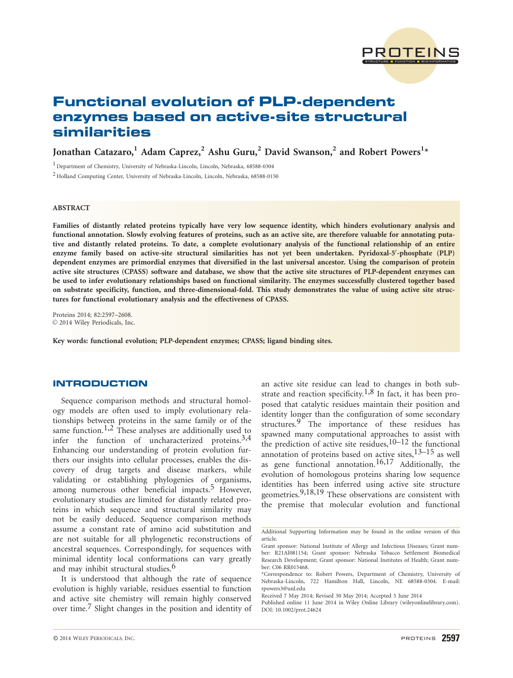

# Functional evolution of PLP-dependent enzymes based on active-site structural similarities

Jonathan Catazaro, $^1$  Adam Caprez, $^2$  Ashu Guru, $^2$  David Swanson, $^2$  and Robert Powers $^{1\star}$ 

<sup>1</sup> Department of Chemistry, University of Nebraska-Lincoln, Lincoln, Nebraska, 68588-0304

<sup>2</sup> Holland Computing Center, University of Nebraska-Lincoln, Lincoln, Nebraska, 68588-0150

## ABSTRACT

Families of distantly related proteins typically have very low sequence identity, which hinders evolutionary analysis and functional annotation. Slowly evolving features of proteins, such as an active site, are therefore valuable for annotating putative and distantly related proteins. To date, a complete evolutionary analysis of the functional relationship of an entire enzyme family based on active-site structural similarities has not yet been undertaken. Pyridoxal-5'-phosphate (PLP) dependent enzymes are primordial enzymes that diversified in the last universal ancestor. Using the comparison of protein active site structures (CPASS) software and database, we show that the active site structures of PLP-dependent enzymes can be used to infer evolutionary relationships based on functional similarity. The enzymes successfully clustered together based on substrate specificity, function, and three-dimensional-fold. This study demonstrates the value of using active site structures for functional evolutionary analysis and the effectiveness of CPASS.

Proteins 2014; 82:2597–2608.  $©$  2014 Wiley Periodicals, Inc.

Key words: functional evolution; PLP-dependent enzymes; CPASS; ligand binding sites.

# INTRODUCTION

Sequence comparison methods and structural homology models are often used to imply evolutionary relationships between proteins in the same family or of the same function.<sup>1,2</sup> These analyses are additionally used to infer the function of uncharacterized proteins. $3,4$ Enhancing our understanding of protein evolution furthers our insights into cellular processes, enables the discovery of drug targets and disease markers, while validating or establishing phylogenies of organisms, among numerous other beneficial impacts.<sup>5</sup> However, evolutionary studies are limited for distantly related proteins in which sequence and structural similarity may not be easily deduced. Sequence comparison methods assume a constant rate of amino acid substitution and are not suitable for all phylogenetic reconstructions of ancestral sequences. Correspondingly, for sequences with minimal identity local conformations can vary greatly and may inhibit structural studies.<sup>6</sup>

It is understood that although the rate of sequence evolution is highly variable, residues essential to function and active site chemistry will remain highly conserved over time.7 Slight changes in the position and identity of

an active site residue can lead to changes in both substrate and reaction specificity.<sup>1,8</sup> In fact, it has been proposed that catalytic residues maintain their position and identity longer than the configuration of some secondary structures.<sup>9</sup> The importance of these residues has spawned many computational approaches to assist with the prediction of active site residues,  $10-12$  the functional annotation of proteins based on active sites, $13-15$  as well as gene functional annotation.16,17 Additionally, the evolution of homologous proteins sharing low sequence identities has been inferred using active site structure geometries.9,18,19 These observations are consistent with the premise that molecular evolution and functional

Additional Supporting Information may be found in the online version of this article.

Grant sponsor: National Institute of Allergy and Infectious Diseases; Grant number: R21AI081154; Grant sponsor: Nebraska Tobacco Settlement Biomedical Research Development; Grant sponsor: National Institutes of Health; Grant number: C06 RR015468.

<sup>\*</sup>Correspondence to: Robert Powers, Department of Chemistry, University of Nebraska-Lincoln, 722 Hamilton Hall, Lincoln, NE 68588-0304. E-mail: rpowers3@unl.edu

Received 7 May 2014; Revised 30 May 2014; Accepted 5 June 2014

Published online 11 June 2014 in Wiley Online Library (wileyonlinelibrary.com). DOI: 10.1002/prot.24624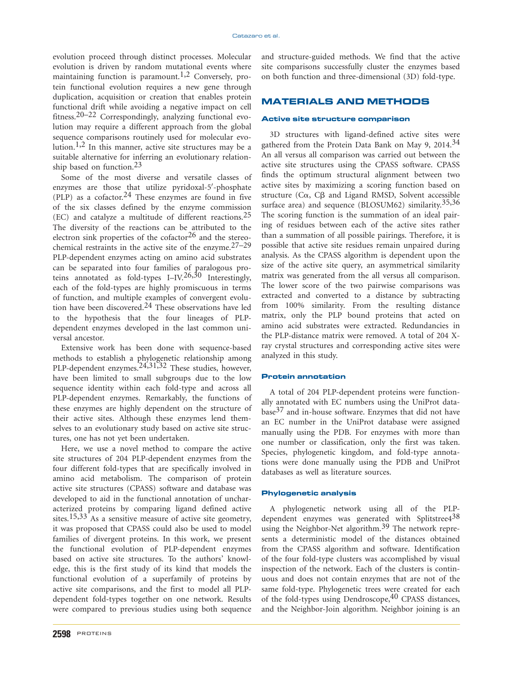evolution proceed through distinct processes. Molecular evolution is driven by random mutational events where maintaining function is paramount.<sup>1,2</sup> Conversely, protein functional evolution requires a new gene through duplication, acquisition or creation that enables protein functional drift while avoiding a negative impact on cell fitness.<sup>20–22</sup> Correspondingly, analyzing functional evolution may require a different approach from the global sequence comparisons routinely used for molecular evolution.<sup>1,2</sup> In this manner, active site structures may be a suitable alternative for inferring an evolutionary relationship based on function.23

Some of the most diverse and versatile classes of enzymes are those that utilize pyridoxal-5'-phosphate (PLP) as a cofactor.<sup>24</sup> These enzymes are found in five of the six classes defined by the enzyme commission (EC) and catalyze a multitude of different reactions.25 The diversity of the reactions can be attributed to the electron sink properties of the cofactor $26$  and the stereochemical restraints in the active site of the enzyme. $27-29$ PLP-dependent enzymes acting on amino acid substrates can be separated into four families of paralogous proteins annotated as fold-types I–IV.<sup>26,30</sup> Interestingly, each of the fold-types are highly promiscuous in terms of function, and multiple examples of convergent evolution have been discovered.<sup>24</sup> These observations have led to the hypothesis that the four lineages of PLPdependent enzymes developed in the last common universal ancestor.

Extensive work has been done with sequence-based methods to establish a phylogenetic relationship among PLP-dependent enzymes.<sup>24,31,32</sup> These studies, however, have been limited to small subgroups due to the low sequence identity within each fold-type and across all PLP-dependent enzymes. Remarkably, the functions of these enzymes are highly dependent on the structure of their active sites. Although these enzymes lend themselves to an evolutionary study based on active site structures, one has not yet been undertaken.

Here, we use a novel method to compare the active site structures of 204 PLP-dependent enzymes from the four different fold-types that are specifically involved in amino acid metabolism. The comparison of protein active site structures (CPASS) software and database was developed to aid in the functional annotation of uncharacterized proteins by comparing ligand defined active sites.<sup>15,33</sup> As a sensitive measure of active site geometry, it was proposed that CPASS could also be used to model families of divergent proteins. In this work, we present the functional evolution of PLP-dependent enzymes based on active site structures. To the authors' knowledge, this is the first study of its kind that models the functional evolution of a superfamily of proteins by active site comparisons, and the first to model all PLPdependent fold-types together on one network. Results were compared to previous studies using both sequence

2598 PROTEINS

and structure-guided methods. We find that the active site comparisons successfully cluster the enzymes based on both function and three-dimensional (3D) fold-type.

# MATERIALS AND METHODS

#### Active site structure comparison

3D structures with ligand-defined active sites were gathered from the Protein Data Bank on May 9, 2014.<sup>34</sup> An all versus all comparison was carried out between the active site structures using the CPASS software. CPASS finds the optimum structural alignment between two active sites by maximizing a scoring function based on structure ( $C\alpha$ ,  $C\beta$  and Ligand RMSD, Solvent accessible surface area) and sequence (BLOSUM62) similarity.<sup>35,36</sup> The scoring function is the summation of an ideal pairing of residues between each of the active sites rather than a summation of all possible pairings. Therefore, it is possible that active site residues remain unpaired during analysis. As the CPASS algorithm is dependent upon the size of the active site query, an asymmetrical similarity matrix was generated from the all versus all comparison. The lower score of the two pairwise comparisons was extracted and converted to a distance by subtracting from 100% similarity. From the resulting distance matrix, only the PLP bound proteins that acted on amino acid substrates were extracted. Redundancies in the PLP-distance matrix were removed. A total of 204 Xray crystal structures and corresponding active sites were analyzed in this study.

## Protein annotation

A total of 204 PLP-dependent proteins were functionally annotated with EC numbers using the UniProt database $37$  and in-house software. Enzymes that did not have an EC number in the UniProt database were assigned manually using the PDB. For enzymes with more than one number or classification, only the first was taken. Species, phylogenetic kingdom, and fold-type annotations were done manually using the PDB and UniProt databases as well as literature sources.

#### Phylogenetic analysis

A phylogenetic network using all of the PLPdependent enzymes was generated with Splitstree4<sup>38</sup> using the Neighbor-Net algorithm.<sup>39</sup> The network represents a deterministic model of the distances obtained from the CPASS algorithm and software. Identification of the four fold-type clusters was accomplished by visual inspection of the network. Each of the clusters is continuous and does not contain enzymes that are not of the same fold-type. Phylogenetic trees were created for each of the fold-types using Dendroscope, <sup>40</sup> CPASS distances, and the Neighbor-Join algorithm. Neighbor joining is an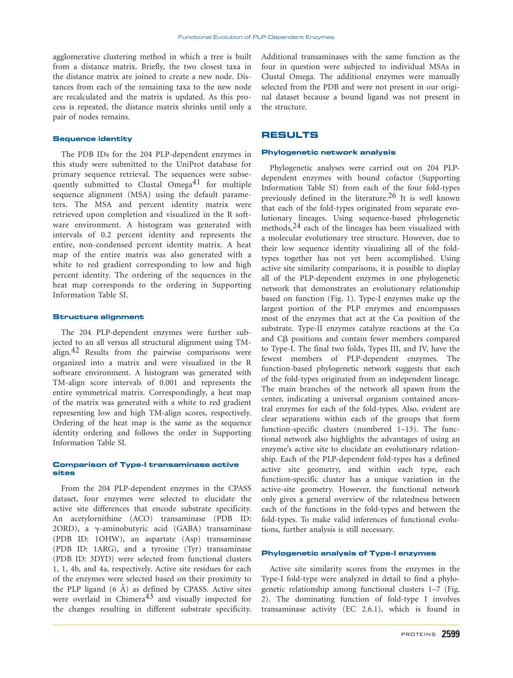agglomerative clustering method in which a tree is built from a distance matrix. Briefly, the two closest taxa in the distance matrix are joined to create a new node. Distances from each of the remaining taxa to the new node are recalculated and the matrix is updated. As this process is repeated, the distance matrix shrinks until only a pair of nodes remains.

#### Sequence identity

The PDB IDs for the 204 PLP-dependent enzymes in this study were submitted to the UniProt database for primary sequence retrieval. The sequences were subsequently submitted to Clustal Omega<sup>41</sup> for multiple sequence alignment (MSA) using the default parameters. The MSA and percent identity matrix were retrieved upon completion and visualized in the R software environment. A histogram was generated with intervals of 0.2 percent identity and represents the entire, non-condensed percent identity matrix. A heat map of the entire matrix was also generated with a white to red gradient corresponding to low and high percent identity. The ordering of the sequences in the heat map corresponds to the ordering in Supporting Information Table SI.

## Structure alignment

The 204 PLP-dependent enzymes were further subjected to an all versus all structural alignment using TMalign.42 Results from the pairwise comparisons were organized into a matrix and were visualized in the R software environment. A histogram was generated with TM-align score intervals of 0.001 and represents the entire symmetrical matrix. Correspondingly, a heat map of the matrix was generated with a white to red gradient representing low and high TM-align scores, respectively. Ordering of the heat map is the same as the sequence identity ordering and follows the order in Supporting Information Table SI.

## Comparison of Type-I transaminase active sites

From the 204 PLP-dependent enzymes in the CPASS dataset, four enzymes were selected to elucidate the active site differences that encode substrate specificity. An acetylornithine (ACO) transaminase (PDB ID: 2ORD), a  $\gamma$ -aminobutyric acid (GABA) transaminase (PDB ID: 1OHW), an aspartate (Asp) transaminase (PDB ID: 1ARG), and a tyrosine (Tyr) transaminase (PDB ID: 3DYD) were selected from functional clusters 1, 1, 4b, and 4a, respectively. Active site residues for each of the enzymes were selected based on their proximity to the PLP ligand  $(6 \text{ Å})$  as defined by CPASS. Active sites were overlaid in Chimera<sup>43</sup> and visually inspected for the changes resulting in different substrate specificity. Additional transaminases with the same function as the four in question were subjected to individual MSAs in Clustal Omega. The additional enzymes were manually selected from the PDB and were not present in our original dataset because a bound ligand was not present in the structure.

# RESULTS

#### Phylogenetic network analysis

Phylogenetic analyses were carried out on 204 PLPdependent enzymes with bound cofactor (Supporting Information Table SI) from each of the four fold-types previously defined in the literature.26 It is well known that each of the fold-types originated from separate evolutionary lineages. Using sequence-based phylogenetic methods,  $24$  each of the lineages has been visualized with a molecular evolutionary tree structure. However, due to their low sequence identity visualizing all of the foldtypes together has not yet been accomplished. Using active site similarity comparisons, it is possible to display all of the PLP-dependent enzymes in one phylogenetic network that demonstrates an evolutionary relationship based on function (Fig. 1). Type-I enzymes make up the largest portion of the PLP enzymes and encompasses most of the enzymes that act at the  $C\alpha$  position of the substrate. Type-II enzymes catalyze reactions at the  $C\alpha$ and  $C\beta$  positions and contain fewer members compared to Type-I. The final two folds, Types III, and IV, have the fewest members of PLP-dependent enzymes. The function-based phylogenetic network suggests that each of the fold-types originated from an independent lineage. The main branches of the network all spawn from the center, indicating a universal organism contained ancestral enzymes for each of the fold-types. Also, evident are clear separations within each of the groups that form function-specific clusters (numbered 1–13). The functional network also highlights the advantages of using an enzyme's active site to elucidate an evolutionary relationship. Each of the PLP-dependent fold-types has a defined active site geometry, and within each type, each function-specific cluster has a unique variation in the active-site geometry. However, the functional network only gives a general overview of the relatedness between each of the functions in the fold-types and between the fold-types. To make valid inferences of functional evolutions, further analysis is still necessary.

#### Phylogenetic analysis of Type-I enzymes

Active site similarity scores from the enzymes in the Type-I fold-type were analyzed in detail to find a phylogenetic relationship among functional clusters 1–7 (Fig. 2). The dominating function of fold-type I involves transaminase activity (EC 2.6.1), which is found in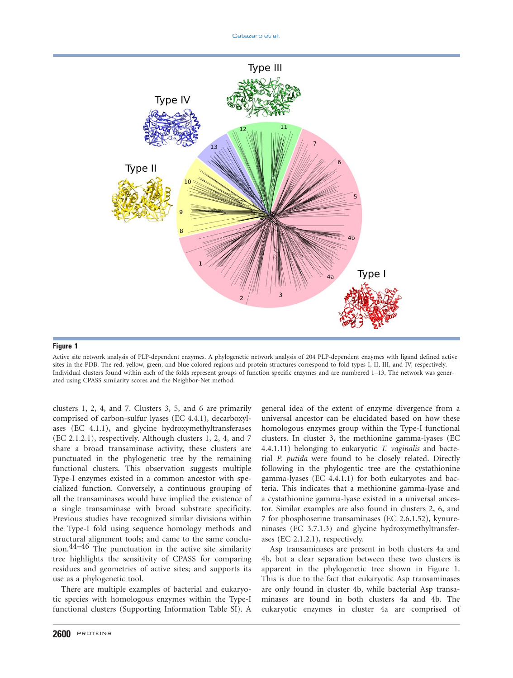

Active site network analysis of PLP-dependent enzymes. A phylogenetic network analysis of 204 PLP-dependent enzymes with ligand defined active sites in the PDB. The red, yellow, green, and blue colored regions and protein structures correspond to fold-types I, II, III, and IV, respectively. Individual clusters found within each of the folds represent groups of function specific enzymes and are numbered 1–13. The network was generated using CPASS similarity scores and the Neighbor-Net method.

clusters 1, 2, 4, and 7. Clusters 3, 5, and 6 are primarily comprised of carbon-sulfur lyases (EC 4.4.1), decarboxylases (EC 4.1.1), and glycine hydroxymethyltransferases (EC 2.1.2.1), respectively. Although clusters 1, 2, 4, and 7 share a broad transaminase activity, these clusters are punctuated in the phylogenetic tree by the remaining functional clusters. This observation suggests multiple Type-I enzymes existed in a common ancestor with specialized function. Conversely, a continuous grouping of all the transaminases would have implied the existence of a single transaminase with broad substrate specificity. Previous studies have recognized similar divisions within the Type-I fold using sequence homology methods and structural alignment tools; and came to the same conclusion.44–46 The punctuation in the active site similarity tree highlights the sensitivity of CPASS for comparing residues and geometries of active sites; and supports its use as a phylogenetic tool.

There are multiple examples of bacterial and eukaryotic species with homologous enzymes within the Type-I functional clusters (Supporting Information Table SI). A

general idea of the extent of enzyme divergence from a universal ancestor can be elucidated based on how these homologous enzymes group within the Type-I functional clusters. In cluster 3, the methionine gamma-lyases (EC 4.4.1.11) belonging to eukaryotic T. vaginalis and bacterial P. putida were found to be closely related. Directly following in the phylogentic tree are the cystathionine gamma-lyases (EC 4.4.1.1) for both eukaryotes and bacteria. This indicates that a methionine gamma-lyase and a cystathionine gamma-lyase existed in a universal ancestor. Similar examples are also found in clusters 2, 6, and 7 for phosphoserine transaminases (EC 2.6.1.52), kynureninases (EC 3.7.1.3) and glycine hydroxymethyltransferases (EC 2.1.2.1), respectively.

Asp transaminases are present in both clusters 4a and 4b, but a clear separation between these two clusters is apparent in the phylogenetic tree shown in Figure 1. This is due to the fact that eukaryotic Asp transaminases are only found in cluster 4b, while bacterial Asp transaminases are found in both clusters 4a and 4b. The eukaryotic enzymes in cluster 4a are comprised of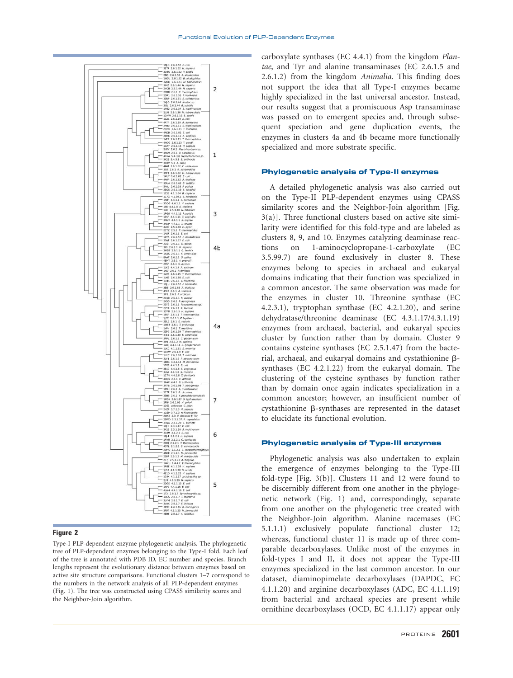

Type-I PLP-dependent enzyme phylogenetic analysis. The phylogenetic tree of PLP-dependent enzymes belonging to the Type-I fold. Each leaf of the tree is annotated with PDB ID, EC number and species. Branch lengths represent the evolutionary distance between enzymes based on active site structure comparisons. Functional clusters 1–7 correspond to the numbers in the network analysis of all PLP-dependent enzymes (Fig. 1). The tree was constructed using CPASS similarity scores and the Neighbor-Join algorithm.

carboxylate synthases (EC 4.4.1) from the kingdom Plantae, and Tyr and alanine transaminases (EC 2.6.1.5 and 2.6.1.2) from the kingdom Animalia. This finding does not support the idea that all Type-I enzymes became highly specialized in the last universal ancestor. Instead, our results suggest that a promiscuous Asp transaminase was passed on to emergent species and, through subsequent speciation and gene duplication events, the enzymes in clusters 4a and 4b became more functionally specialized and more substrate specific.

## Phylogenetic analysis of Type-II enzymes

A detailed phylogenetic analysis was also carried out on the Type-II PLP-dependent enzymes using CPASS similarity scores and the Neighbor-Join algorithm [Fig. 3(a)]. Three functional clusters based on active site similarity were identified for this fold-type and are labeled as clusters 8, 9, and 10. Enzymes catalyzing deaminase reactions on 1-aminocyclopropane-1-carboxylate (EC 3.5.99.7) are found exclusively in cluster 8. These enzymes belong to species in archaeal and eukaryal domains indicating that their function was specialized in a common ancestor. The same observation was made for the enzymes in cluster 10. Threonine synthase (EC 4.2.3.1), tryptophan synthase (EC 4.2.1.20), and serine dehydratase/threonine deaminase (EC 4.3.1.17/4.3.1.19) enzymes from archaeal, bacterial, and eukaryal species cluster by function rather than by domain. Cluster 9 contains cysteine synthases (EC 2.5.1.47) from the bacterial, archaeal, and eukaryal domains and cystathionine  $\beta$ synthases (EC 4.2.1.22) from the eukaryal domain. The clustering of the cysteine synthases by function rather than by domain once again indicates specialization in a common ancestor; however, an insufficient number of  $cystationine$   $\beta$ -synthases are represented in the dataset to elucidate its functional evolution.

#### Phylogenetic analysis of Type-III enzymes

Phylogenetic analysis was also undertaken to explain the emergence of enzymes belonging to the Type-III fold-type [Fig. 3(b)]. Clusters 11 and 12 were found to be discernibly different from one another in the phylogenetic network (Fig. 1) and, correspondingly, separate from one another on the phylogenetic tree created with the Neighbor-Join algorithm. Alanine racemases (EC 5.1.1.1) exclusively populate functional cluster 12; whereas, functional cluster 11 is made up of three comparable decarboxylases. Unlike most of the enzymes in fold-types I and II, it does not appear the Type-III enzymes specialized in the last common ancestor. In our dataset, diaminopimelate decarboxylases (DAPDC, EC 4.1.1.20) and arginine decarboxylases (ADC, EC 4.1.1.19) from bacterial and archaeal species are present while ornithine decarboxylases (OCD, EC 4.1.1.17) appear only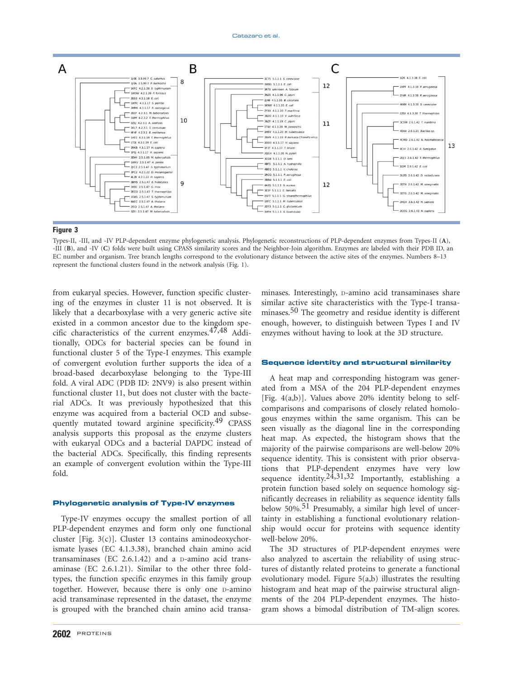

Types-II, -III, and -IV PLP-dependent enzyme phylogenetic analysis. Phylogenetic reconstructions of PLP-dependent enzymes from Types-II (A), -III (B), and -IV (C) folds were built using CPASS similarity scores and the Neighbor-Join algorithm. Enzymes are labeled with their PDB ID, an EC number and organism. Tree branch lengths correspond to the evolutionary distance between the active sites of the enzymes. Numbers 8–13 represent the functional clusters found in the network analysis (Fig. 1).

from eukaryal species. However, function specific clustering of the enzymes in cluster 11 is not observed. It is likely that a decarboxylase with a very generic active site existed in a common ancestor due to the kingdom specific characteristics of the current enzymes.<sup>47,48</sup> Additionally, ODCs for bacterial species can be found in functional cluster 5 of the Type-I enzymes. This example of convergent evolution further supports the idea of a broad-based decarboxylase belonging to the Type-III fold. A viral ADC (PDB ID: 2NV9) is also present within functional cluster 11, but does not cluster with the bacterial ADCs. It was previously hypothesized that this enzyme was acquired from a bacterial OCD and subsequently mutated toward arginine specificity.<sup>49</sup> CPASS analysis supports this proposal as the enzyme clusters with eukaryal ODCs and a bacterial DAPDC instead of the bacterial ADCs. Specifically, this finding represents an example of convergent evolution within the Type-III fold.

## Phylogenetic analysis of Type-IV enzymes

Type-IV enzymes occupy the smallest portion of all PLP-dependent enzymes and form only one functional cluster [Fig. 3(c)]. Cluster 13 contains aminodeoxychorismate lyases (EC 4.1.3.38), branched chain amino acid transaminases (EC 2.6.1.42) and a D-amino acid transaminase (EC 2.6.1.21). Similar to the other three foldtypes, the function specific enzymes in this family group together. However, because there is only one D-amino acid transaminase represented in the dataset, the enzyme is grouped with the branched chain amino acid transa-

2602 PROTEINS

minases. Interestingly, D-amino acid transaminases share similar active site characteristics with the Type-I transaminases.<sup>50</sup> The geometry and residue identity is different enough, however, to distinguish between Types I and IV enzymes without having to look at the 3D structure.

### Sequence identity and structural similarity

A heat map and corresponding histogram was generated from a MSA of the 204 PLP-dependent enzymes [Fig. 4(a,b)]. Values above 20% identity belong to selfcomparisons and comparisons of closely related homologous enzymes within the same organism. This can be seen visually as the diagonal line in the corresponding heat map. As expected, the histogram shows that the majority of the pairwise comparisons are well-below 20% sequence identity. This is consistent with prior observations that PLP-dependent enzymes have very low sequence identity.<sup>24,31,32</sup> Importantly, establishing a protein function based solely on sequence homology significantly decreases in reliability as sequence identity falls below 50%.<sup>51</sup> Presumably, a similar high level of uncertainty in establishing a functional evolutionary relationship would occur for proteins with sequence identity well-below 20%.

The 3D structures of PLP-dependent enzymes were also analyzed to ascertain the reliability of using structures of distantly related proteins to generate a functional evolutionary model. Figure 5(a,b) illustrates the resulting histogram and heat map of the pairwise structural alignments of the 204 PLP-dependent enzymes. The histogram shows a bimodal distribution of TM-align scores.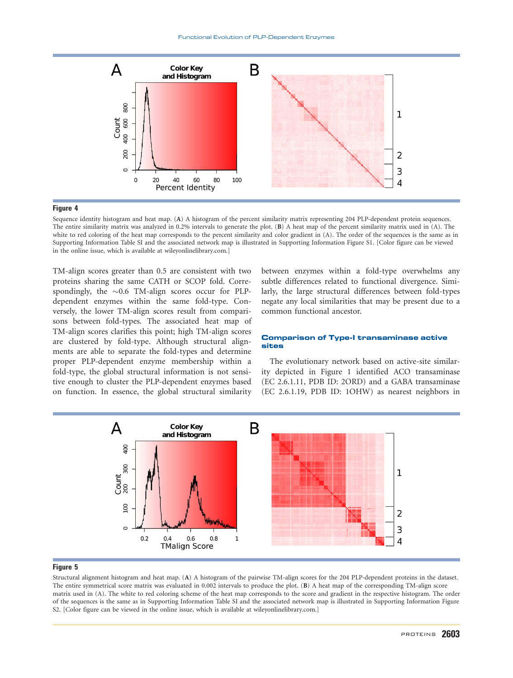

Sequence identity histogram and heat map. (A) A histogram of the percent similarity matrix representing 204 PLP-dependent protein sequences. The entire similarity matrix was analyzed in 0.2% intervals to generate the plot. (B) A heat map of the percent similarity matrix used in (A). The white to red coloring of the heat map corresponds to the percent similarity and color gradient in (A). The order of the sequences is the same as in Supporting Information Table SI and the associated network map is illustrated in Supporting Information Figure S1. [Color figure can be viewed in the online issue, which is available at [wileyonlinelibrary.com.](http://wileyonlinelibrary.com)]

TM-align scores greater than 0.5 are consistent with two proteins sharing the same CATH or SCOP fold. Correspondingly, the  $\sim 0.6$  TM-align scores occur for PLPdependent enzymes within the same fold-type. Conversely, the lower TM-align scores result from comparisons between fold-types. The associated heat map of TM-align scores clarifies this point; high TM-align scores are clustered by fold-type. Although structural alignments are able to separate the fold-types and determine proper PLP-dependent enzyme membership within a fold-type, the global structural information is not sensitive enough to cluster the PLP-dependent enzymes based on function. In essence, the global structural similarity between enzymes within a fold-type overwhelms any subtle differences related to functional divergence. Similarly, the large structural differences between fold-types negate any local similarities that may be present due to a common functional ancestor.

## Comparison of Type-I transaminase active sites

The evolutionary network based on active-site similarity depicted in Figure 1 identified ACO transaminase (EC 2.6.1.11, PDB ID: 2ORD) and a GABA transaminase (EC 2.6.1.19, PDB ID: 1OHW) as nearest neighbors in



#### Figure 5

Structural alignment histogram and heat map. (A) A histogram of the pairwise TM-align scores for the 204 PLP-dependent proteins in the dataset. The entire symmetrical score matrix was evaluated in 0.002 intervals to produce the plot. (B) A heat map of the corresponding TM-align score matrix used in (A). The white to red coloring scheme of the heat map corresponds to the score and gradient in the respective histogram. The order of the sequences is the same as in Supporting Information Table SI and the associated network map is illustrated in Supporting Information Figure S2. [Color figure can be viewed in the online issue, which is available at [wileyonlinelibrary.com](http://wileyonlinelibrary.com).]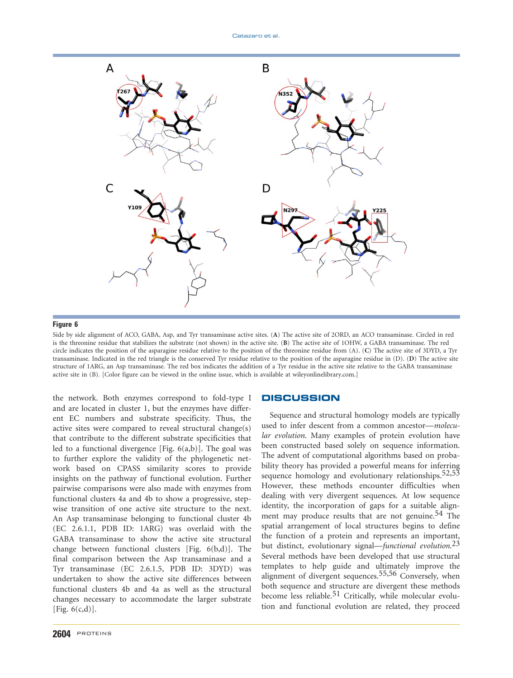

Side by side alignment of ACO, GABA, Asp, and Tyr transaminase active sites. (A) The active site of 2ORD, an ACO transaminase. Circled in red is the threonine residue that stabilizes the substrate (not shown) in the active site. (B) The active site of 1OHW, a GABA transaminase. The red circle indicates the position of the asparagine residue relative to the position of the threonine residue from (A). (C) The active site of 3DYD, a Tyr transaminase. Indicated in the red triangle is the conserved Tyr residue relative to the position of the asparagine residue in (D). (D) The active site structure of 1ARG, an Asp transaminase. The red box indicates the addition of a Tyr residue in the active site relative to the GABA transaminase active site in (B). [Color figure can be viewed in the online issue, which is available at [wileyonlinelibrary.com.](http://wileyonlinelibrary.com)]

the network. Both enzymes correspond to fold-type I and are located in cluster 1, but the enzymes have different EC numbers and substrate specificity. Thus, the active sites were compared to reveal structural change(s) that contribute to the different substrate specificities that led to a functional divergence [Fig.  $6(a,b)$ ]. The goal was to further explore the validity of the phylogenetic network based on CPASS similarity scores to provide insights on the pathway of functional evolution. Further pairwise comparisons were also made with enzymes from functional clusters 4a and 4b to show a progressive, stepwise transition of one active site structure to the next. An Asp transaminase belonging to functional cluster 4b (EC 2.6.1.1, PDB ID: 1ARG) was overlaid with the GABA transaminase to show the active site structural change between functional clusters [Fig. 6(b,d)]. The final comparison between the Asp transaminase and a Tyr transaminase (EC 2.6.1.5, PDB ID: 3DYD) was undertaken to show the active site differences between functional clusters 4b and 4a as well as the structural changes necessary to accommodate the larger substrate [Fig. 6(c,d)].

# **DISCUSSION**

Sequence and structural homology models are typically used to infer descent from a common ancestor—molecular evolution. Many examples of protein evolution have been constructed based solely on sequence information. The advent of computational algorithms based on probability theory has provided a powerful means for inferring sequence homology and evolutionary relationships.<sup>52,53</sup> However, these methods encounter difficulties when dealing with very divergent sequences. At low sequence identity, the incorporation of gaps for a suitable alignment may produce results that are not genuine.<sup>54</sup> The spatial arrangement of local structures begins to define the function of a protein and represents an important, but distinct, evolutionary signal—functional evolution.<sup>23</sup> Several methods have been developed that use structural templates to help guide and ultimately improve the alignment of divergent sequences.55,56 Conversely, when both sequence and structure are divergent these methods become less reliable.<sup>51</sup> Critically, while molecular evolution and functional evolution are related, they proceed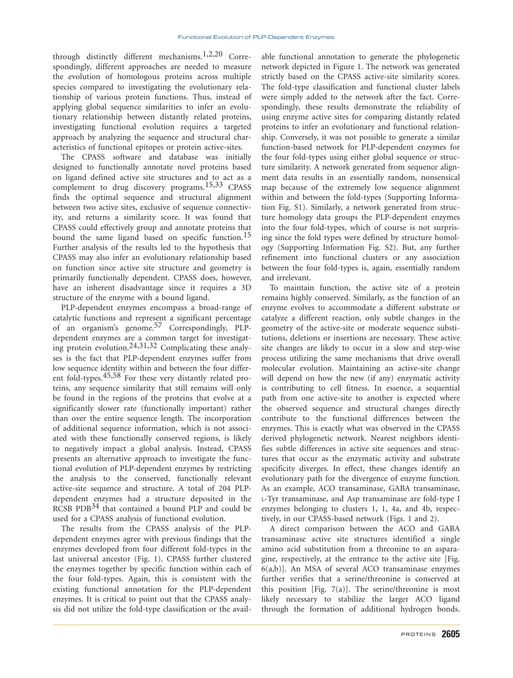through distinctly different mechanisms.<sup>1,2,20</sup> Correspondingly, different approaches are needed to measure the evolution of homologous proteins across multiple species compared to investigating the evolutionary relationship of various protein functions. Thus, instead of applying global sequence similarities to infer an evolutionary relationship between distantly related proteins, investigating functional evolution requires a targeted approach by analyzing the sequence and structural characteristics of functional epitopes or protein active-sites.

The CPASS software and database was initially designed to functionally annotate novel proteins based on ligand defined active site structures and to act as a complement to drug discovery programs.15,33 CPASS finds the optimal sequence and structural alignment between two active sites, exclusive of sequence connectivity, and returns a similarity score. It was found that CPASS could effectively group and annotate proteins that bound the same ligand based on specific function.<sup>15</sup> Further analysis of the results led to the hypothesis that CPASS may also infer an evolutionary relationship based on function since active site structure and geometry is primarily functionally dependent. CPASS does, however, have an inherent disadvantage since it requires a 3D structure of the enzyme with a bound ligand.

PLP-dependent enzymes encompass a broad-range of catalytic functions and represent a significant percentage of an organism's genome.57 Correspondingly, PLPdependent enzymes are a common target for investigating protein evolution.24,31,32 Complicating these analyses is the fact that PLP-dependent enzymes suffer from low sequence identity within and between the four different fold-types.<sup>45,58</sup> For these very distantly related proteins, any sequence similarity that still remains will only be found in the regions of the proteins that evolve at a significantly slower rate (functionally important) rather than over the entire sequence length. The incorporation of additional sequence information, which is not associated with these functionally conserved regions, is likely to negatively impact a global analysis. Instead, CPASS presents an alternative approach to investigate the functional evolution of PLP-dependent enzymes by restricting the analysis to the conserved, functionally relevant active-site sequence and structure. A total of 204 PLPdependent enzymes had a structure deposited in the RCSB PDB<sup>34</sup> that contained a bound PLP and could be used for a CPASS analysis of functional evolution.

The results from the CPASS analysis of the PLPdependent enzymes agree with previous findings that the enzymes developed from four different fold-types in the last universal ancestor (Fig. 1). CPASS further clustered the enzymes together by specific function within each of the four fold-types. Again, this is consistent with the existing functional annotation for the PLP-dependent enzymes. It is critical to point out that the CPASS analysis did not utilize the fold-type classification or the available functional annotation to generate the phylogenetic network depicted in Figure 1. The network was generated strictly based on the CPASS active-site similarity scores. The fold-type classification and functional cluster labels were simply added to the network after the fact. Correspondingly, these results demonstrate the reliability of using enzyme active sites for comparing distantly related proteins to infer an evolutionary and functional relationship. Conversely, it was not possible to generate a similar function-based network for PLP-dependent enzymes for the four fold-types using either global sequence or structure similarity. A network generated from sequence alignment data results in an essentially random, nonsensical map because of the extremely low sequence alignment within and between the fold-types (Supporting Information Fig. S1). Similarly, a network generated from structure homology data groups the PLP-dependent enzymes into the four fold-types, which of course is not surprising since the fold types were defined by structure homology (Supporting Information Fig. S2). But, any further refinement into functional clusters or any association between the four fold-types is, again, essentially random and irrelevant.

To maintain function, the active site of a protein remains highly conserved. Similarly, as the function of an enzyme evolves to accommodate a different substrate or catalyze a different reaction, only subtle changes in the geometry of the active-site or moderate sequence substitutions, deletions or insertions are necessary. These active site changes are likely to occur in a slow and step-wise process utilizing the same mechanisms that drive overall molecular evolution. Maintaining an active-site change will depend on how the new (if any) enzymatic activity is contributing to cell fitness. In essence, a sequential path from one active-site to another is expected where the observed sequence and structural changes directly contribute to the functional differences between the enzymes. This is exactly what was observed in the CPASS derived phylogenetic network. Nearest neighbors identifies subtle differences in active site sequences and structures that occur as the enzymatic activity and substrate specificity diverges. In effect, these changes identify an evolutionary path for the divergence of enzyme function. As an example, ACO transaminase, GABA transaminase, L-Tyr transaminase, and Asp transaminase are fold-type I enzymes belonging to clusters 1, 1, 4a, and 4b, respectively, in our CPASS-based network (Figs. 1 and 2).

A direct comparison between the ACO and GABA transaminase active site structures identified a single amino acid substitution from a threonine to an asparagine, respectively, at the entrance to the active site [Fig. 6(a,b)]. An MSA of several ACO transaminase enzymes further verifies that a serine/threonine is conserved at this position [Fig.  $7(a)$ ]. The serine/threonine is most likely necessary to stabilize the larger ACO ligand through the formation of additional hydrogen bonds.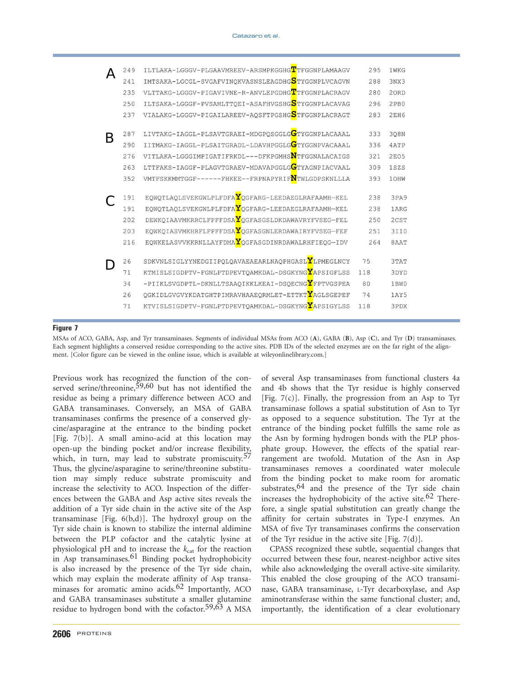|   | 249        | ILTLAKA-LGGGV-PLGAAVMREEV-ARSMPKGGHGTTFGGNPLAMAAGV                                                              | 295        | 1WKG         |
|---|------------|-----------------------------------------------------------------------------------------------------------------|------------|--------------|
|   | 241        | IMTSAKA-LGCGL-SVGAFVINQKVASNSLEAGDHG <mark>S</mark> TYGGNPLVCAGVN                                               | 288        | 3NX3         |
|   | 235        | VLTTAKG-LGGGV-PIGAVIVNE-R-ANVLEPGDHGTTFGGNPLACRAGV                                                              | 280        | 20RD         |
|   | 250        | ILTSAKA-LGGGF-PVSAMLTTQEI-ASAFHVGSHG <mark>S</mark> TYGGNPLACAVAG                                               | 296        | 2PB0         |
|   | 237        | VIALAKG-LGGGV-PIGAILAREEV-AQSFTPGSHG <mark>S</mark> TFGGNPLACRAGT                                               | 283        | 2EH6         |
| B | 287        | LIVTAKG-IAGGL-PLSAVTGRAEI-MDGPQSGGLGGTYGGNPLACAAAL                                                              | 333        | 308N         |
|   | 290        | IITMAKG-IAGGL-PLSAITGRADL-LDAVHPGGLGGTYGGNPVACAAAL                                                              | 336        | 4ATP         |
|   | 276        | VITLAKA-LGGGIMPIGATIFRKDL---DFKPGMHS <b>N</b> TFGGNALACAIGS                                                     | 321        | <b>2EO5</b>  |
|   | 263        | LTTFAKS-IAGGF-PLAGVTGRAEV-MDAVAPGGLGGTYAGNPIACVAAL                                                              | 309        | 1SZS         |
|   | 352        | VMTFSKKMMTGGF------FHKEE--FRPNAPYRIF <mark>N</mark> TWLGDPSKNLLLA                                               | 393        | 10HW         |
|   | 191<br>191 | EQWQTLAQLSVEKGWLPLFDFA <b>Y</b> QGFARG-LEEDAEGLRAFAAMH-KEL<br>EQWQTLAQLSVEKGWLPLFDFAYQGFARG-LEEDAEGLRAFAAMH-KEL | 238<br>238 | 3PA9<br>1ARG |
|   | 202        | DEWKQIAAVMKRRCLFPFFDSAYQGFASGSLDKDAWAVRYFVSEG-FEL                                                               | 250        | 2CST         |
|   | 203        | EQWKQIASVMKHRFLFPFFDSAYQGFASGNLERDAWAIRYFVSEG-FEF                                                               | 251        | 3II0         |
|   | 216        | EQWKELASVVKKRNLLAYFDMAYQGFASGDINRDAWALRHFIEQG-IDV                                                               | 264        | 8AAT         |
|   | 26         | SDKVNLSIGLYYNEDGIIPQLQAVAEAEARLNAQPHGASLYLPMEGLNCY                                                              | 75         | 3TAT         |
|   | 71         | KTMISLSIGDPTV-FGNLPTDPEVTQAMKDAL-DSGKYNGYAPSIGFLSS                                                              | 118        | 3DYD         |
|   | 34         | -PIIKLSVGDPTL-DKNLLTSAAQIKKLKEAI-DSQECNG <mark>Y</mark> FPTVGSPEA                                               | 80         | 1BW0         |
|   | 26         | QGKIDLGVGVYKDATGHTPIMRAVHAAEQRMLET-ETTKTYAGLSGEPEF                                                              | 74         | 1AY5         |
|   | 71         | KTVISLSIGDPTV-FGNLPTDPEVTQAMKDAL-DSGKYNGYAPSIGYLSS                                                              | 118        | 3PDX         |
|   |            |                                                                                                                 |            |              |

MSAs of ACO, GABA, Asp, and Tyr transaminases. Segments of individual MSAs from ACO (A), GABA (B), Asp (C), and Tyr (D) transaminases. Each segment highlights a conserved residue corresponding to the active sites. PDB IDs of the selected enzymes are on the far right of the alignment. [Color figure can be viewed in the online issue, which is available at [wileyonlinelibrary.com](http://wileyonlinelibrary.com).]

Previous work has recognized the function of the conserved serine/threonine,<sup>59,60</sup> but has not identified the residue as being a primary difference between ACO and GABA transaminases. Conversely, an MSA of GABA transaminases confirms the presence of a conserved glycine/asparagine at the entrance to the binding pocket [Fig.  $7(b)$ ]. A small amino-acid at this location may open-up the binding pocket and/or increase flexibility, which, in turn, may lead to substrate promiscuity. $57$ Thus, the glycine/asparagine to serine/threonine substitution may simply reduce substrate promiscuity and increase the selectivity to ACO. Inspection of the differences between the GABA and Asp active sites reveals the addition of a Tyr side chain in the active site of the Asp transaminase [Fig. 6(b,d)]. The hydroxyl group on the Tyr side chain is known to stabilize the internal aldimine between the PLP cofactor and the catalytic lysine at physiological pH and to increase the  $k_{\text{cat}}$  for the reaction in Asp transaminases.<sup>61</sup> Binding pocket hydrophobicity is also increased by the presence of the Tyr side chain, which may explain the moderate affinity of Asp transaminases for aromatic amino acids. $62$  Importantly, ACO and GABA transaminases substitute a smaller glutamine residue to hydrogen bond with the cofactor.<sup>59,63</sup> A MSA

and 4b shows that the Tyr residue is highly conserved [Fig. 7(c)]. Finally, the progression from an Asp to Tyr transaminase follows a spatial substitution of Asn to Tyr as opposed to a sequence substitution. The Tyr at the entrance of the binding pocket fulfills the same role as the Asn by forming hydrogen bonds with the PLP phosphate group. However, the effects of the spatial rearrangement are twofold. Mutation of the Asn in Asp transaminases removes a coordinated water molecule from the binding pocket to make room for aromatic substrates,  $64$  and the presence of the Tyr side chain increases the hydrophobicity of the active site.<sup>62</sup> Therefore, a single spatial substitution can greatly change the affinity for certain substrates in Type-I enzymes. An MSA of five Tyr transaminases confirms the conservation of the Tyr residue in the active site  $[Fig. 7(d)].$ 

of several Asp transaminases from functional clusters 4a

CPASS recognized these subtle, sequential changes that occurred between these four, nearest-neighbor active sites while also acknowledging the overall active-site similarity. This enabled the close grouping of the ACO transaminase, GABA transaminase, L-Tyr decarboxylase, and Asp aminotransferase within the same functional cluster; and, importantly, the identification of a clear evolutionary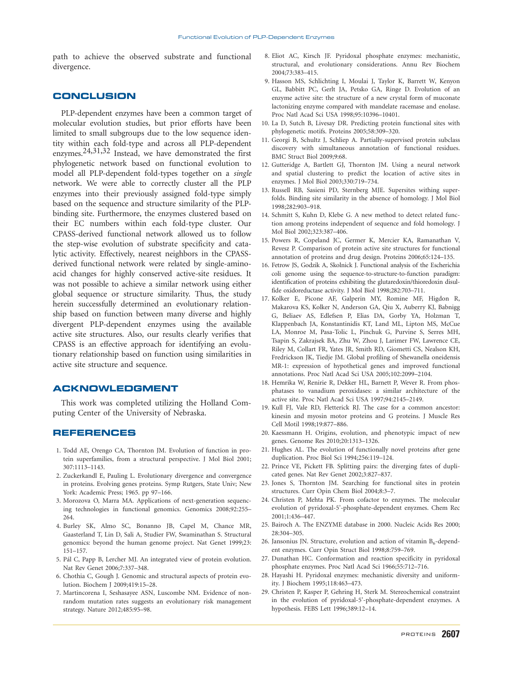path to achieve the observed substrate and functional divergence.

# **CONCLUSION**

PLP-dependent enzymes have been a common target of molecular evolution studies, but prior efforts have been limited to small subgroups due to the low sequence identity within each fold-type and across all PLP-dependent enzymes.24,31,32 Instead, we have demonstrated the first phylogenetic network based on functional evolution to model all PLP-dependent fold-types together on a single network. We were able to correctly cluster all the PLP enzymes into their previously assigned fold-type simply based on the sequence and structure similarity of the PLPbinding site. Furthermore, the enzymes clustered based on their EC numbers within each fold-type cluster. Our CPASS-derived functional network allowed us to follow the step-wise evolution of substrate specificity and catalytic activity. Effectively, nearest neighbors in the CPASSderived functional network were related by single-aminoacid changes for highly conserved active-site residues. It was not possible to achieve a similar network using either global sequence or structure similarity. Thus, the study herein successfully determined an evolutionary relationship based on function between many diverse and highly divergent PLP-dependent enzymes using the available active site structures. Also, our results clearly verifies that CPASS is an effective approach for identifying an evolutionary relationship based on function using similarities in active site structure and sequence.

# ACKNOWLEDGMENT

This work was completed utilizing the Holland Computing Center of the University of Nebraska.

# REFERENCES

- 1. Todd AE, Orengo CA, Thornton JM. Evolution of function in protein superfamilies, from a structural perspective. J Mol Biol 2001; 307:1113–1143.
- 2. Zuckerkandl E, Pauling L. Evolutionary divergence and convergence in proteins. Evolving genes proteins. Symp Rutgers, State Univ; New York: Academic Press; 1965. pp 97–166.
- 3. Morozova O, Marra MA. Applications of next-generation sequencing technologies in functional genomics. Genomics 2008;92:255– 264.
- 4. Burley SK, Almo SC, Bonanno JB, Capel M, Chance MR, Gaasterland T, Lin D, Sali A, Studier FW, Swaminathan S. Structural genomics: beyond the human genome project. Nat Genet 1999;23: 151–157.
- 5. Pál C, Papp B, Lercher MJ. An integrated view of protein evolution. Nat Rev Genet 2006;7:337–348.
- 6. Chothia C, Gough J. Genomic and structural aspects of protein evolution. Biochem J 2009;419:15–28.
- 7. Martincorena I, Seshasayee ASN, Luscombe NM. Evidence of nonrandom mutation rates suggests an evolutionary risk management strategy. Nature 2012;485:95–98.
- 8. Eliot AC, Kirsch JF. Pyridoxal phosphate enzymes: mechanistic, structural, and evolutionary considerations. Annu Rev Biochem 2004;73:383–415.
- 9. Hasson MS, Schlichting I, Moulai J, Taylor K, Barrett W, Kenyon GL, Babbitt PC, Gerlt JA, Petsko GA, Ringe D. Evolution of an enzyme active site: the structure of a new crystal form of muconate lactonizing enzyme compared with mandelate racemase and enolase. Proc Natl Acad Sci USA 1998;95:10396–10401.
- 10. La D, Sutch B, Livesay DR. Predicting protein functional sites with phylogenetic motifs. Proteins 2005;58:309–320.
- 11. Georgi B, Schultz J, Schliep A. Partially-supervised protein subclass discovery with simultaneous annotation of functional residues. BMC Struct Biol 2009;9:68.
- 12. Gutteridge A, Bartlett GJ, Thornton JM. Using a neural network and spatial clustering to predict the location of active sites in enzymes. J Mol Biol 2003;330:719–734.
- 13. Russell RB, Sasieni PD, Sternberg MJE. Supersites withing superfolds. Binding site similarity in the absence of homology. J Mol Biol 1998;282:903–918.
- 14. Schmitt S, Kuhn D, Klebe G. A new method to detect related function among proteins independent of sequence and fold homology. J Mol Biol 2002;323:387–406.
- 15. Powers R, Copeland JC, Germer K, Mercier KA, Ramanathan V, Revesz P. Comparison of protein active site structures for functional annotation of proteins and drug design. Proteins 2006;65:124–135.
- 16. Fetrow JS, Godzik A, Skolnick J. Functional analysis of the Escherichia coli genome using the sequence-to-structure-to-function paradigm: identification of proteins exhibiting the glutaredoxin/thioredoxin disulfide oxidoreductase activity. J Mol Biol 1998;282:703–711.
- 17. Kolker E, Picone AF, Galperin MY, Romine MF, Higdon R, Makarova KS, Kolker N, Anderson GA, Qiu X, Auberry KJ, Babnigg G, Beliaev AS, Edlefsen P, Elias DA, Gorby YA, Holzman T, Klappenbach JA, Konstantinidis KT, Land ML, Lipton MS, McCue LA, Monroe M, Pasa-Tolic L, Pinchuk G, Purvine S, Serres MH, Tsapin S, Zakrajsek BA, Zhu W, Zhou J, Larimer FW, Lawrence CE, Riley M, Collart FR, Yates JR, Smith RD, Giometti CS, Nealson KH, Fredrickson JK, Tiedje JM. Global profiling of Shewanella oneidensis MR-1: expression of hypothetical genes and improved functional annotations. Proc Natl Acad Sci USA 2005;102:2099–2104.
- 18. Hemrika W, Renirie R, Dekker HL, Barnett P, Wever R. From phosphatases to vanadium peroxidases: a similar architecture of the active site. Proc Natl Acad Sci USA 1997;94:2145–2149.
- 19. Kull FJ, Vale RD, Fletterick RJ. The case for a common ancestor: kinesin and myosin motor proteins and G proteins. J Muscle Res Cell Motil 1998;19:877–886.
- 20. Kaessmann H. Origins, evolution, and phenotypic impact of new genes. Genome Res 2010;20:1313–1326.
- 21. Hughes AL. The evolution of functionally novel proteins after gene duplication. Proc Biol Sci 1994;256:119–124.
- 22. Prince VE, Pickett FB. Splitting pairs: the diverging fates of duplicated genes. Nat Rev Genet 2002;3:827–837.
- 23. Jones S, Thornton JM. Searching for functional sites in protein structures. Curr Opin Chem Biol 2004;8:3–7.
- 24. Christen P, Mehta PK. From cofactor to enzymes. The molecular evolution of pyridoxal-5'-phosphate-dependent enyzmes. Chem Rec 2001;1:436–447.
- 25. Bairoch A. The ENZYME database in 2000. Nucleic Acids Res 2000; 28:304–305.
- 26. Jansonius JN. Structure, evolution and action of vitamin  $B_6$ -dependent enzymes. Curr Opin Struct Biol 1998;8:759–769.
- 27. Dunathan HC. Conformation and reaction specificity in pyridoxal phosphate enzymes. Proc Natl Acad Sci 1966;55:712–716.
- 28. Hayashi H. Pyridoxal enzymes: mechanistic diversity and uniformity. J Biochem 1995;118:463–473.
- 29. Christen P, Kasper P, Gehring H, Sterk M. Stereochemical constraint in the evolution of pyridoxal-5'-phosphate-dependent enzymes. A hypothesis. FEBS Lett 1996;389:12–14.